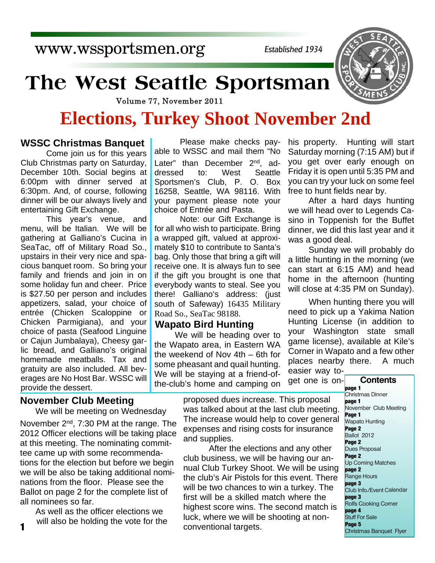www.wssportsmen.org

*Established 1934*

# **The West Seattle Sportsman**

Volume 77, November 2011

# **Elections, Turkey Shoot November 2nd**

#### **WSSC Christmas Banquet**

Come join us for this years Club Christmas party on Saturday, December 10th. Social begins at 6:00pm with dinner served at 6:30pm. And, of course, following dinner will be our always lively and entertaining Gift Exchange.

This year's venue, and menu, will be Italian. We will be gathering at Galliano's Cucina in SeaTac, off of Military Road So., upstairs in their very nice and spacious banquet room. So bring your family and friends and join in on some holiday fun and cheer. Price is \$27.50 per person and includes appetizers, salad, your choice of entrée (Chicken Scaloppine or Chicken Parmigiana), and your choice of pasta (Seafood Linguine or Cajun Jumbalaya), Cheesy garlic bread, and Galliano's original homemade meatballs. Tax and gratuity are also included. All beverages are No Host Bar. WSSC will provide the dessert.

#### **November Club Meeting**

We will be meeting on Wednesday November 2<sup>nd</sup>, 7:30 PM at the range. The 2012 Officer elections will be taking place at this meeting. The nominating committee came up with some recommendations for the election but before we begin we will be also be taking additional nominations from the floor. Please see the Ballot on page 2 for the complete list of all nominees so far.

As well as the officer elections we will also be holding the vote for the

Please make checks payable to WSSC and mail them "No Later" than December 2<sup>nd</sup>, addressed to: West Seattle Sportsmen's Club, P. O. Box 16258, Seattle, WA 98116. With your payment please note your choice of Entrée and Pasta.

Note: our Gift Exchange is for all who wish to participate. Bring a wrapped gift, valued at approximately \$10 to contribute to Santa's bag. Only those that bring a gift will receive one. It is always fun to see if the gift you brought is one that everybody wants to steal. See you there! Galliano's address: (just south of Safeway) 16435 Military Road So., SeaTac 98188.

#### **Wapato Bird Hunting**

We will be heading over to the Wapato area, in Eastern WA the weekend of Nov 4th – 6th for some pheasant and quail hunting. We will be staying at a friend-ofthe-club's home and camping on

his property. Hunting will start Saturday morning (7:15 AM) but if you get over early enough on Friday it is open until 5:35 PM and you can try your luck on some feel free to hunt fields near by.

After a hard days hunting we will head over to Legends Casino in Toppenish for the Buffet dinner, we did this last year and it was a good deal.

Sunday we will probably do a little hunting in the morning (we can start at 6:15 AM) and head home in the afternoon (hunting will close at 4:35 PM on Sunday).

When hunting there you will need to pick up a Yakima Nation Hunting License (in addition to your Washington state small game license), available at Kile's Corner in Wapato and a few other places nearby there. A much

easier way toget one is on-

proposed dues increase. This proposal was talked about at the last club meeting. The increase would help to cover general expenses and rising costs for insurance and supplies.

 After the elections and any other club business, we will be having our annual Club Turkey Shoot. We will be using the club's Air Pistols for this event. There will be two chances to win a turkey. The first will be a skilled match where the highest score wins. The second match is luck, where we will be shooting at non-**1** will also be nothing the vote for the conventional targets.

#### **Contents**

**page 1** Christmas Dinner **page 1** November Club Meeting **Page 1** Wapato Hunting **Page 2** Ballot 2012 **Page 2** Dues Proposal **Page 2** Up Coming Matches **page 2** Range Hours **page 3** Club Info./Event Calendar **page 3** Rolfs Cooking Corner **page 4** Stuff For Sale **Page 5** Christmas Banquet Flyer

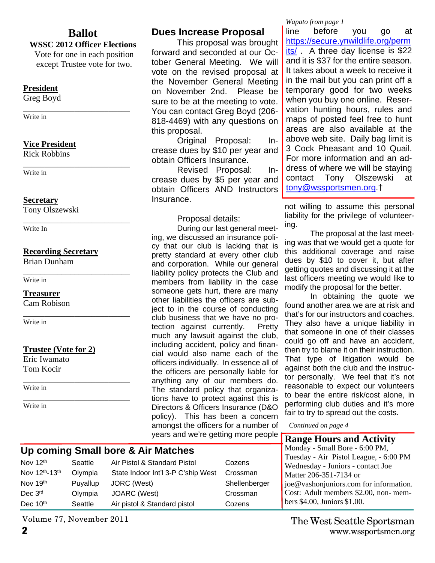#### **Ballot**

#### **WSSC 2012 Officer Elections**

Vote for one in each position except Trustee vote for two.

#### **President**

Greg Boyd

\_\_\_\_\_\_\_\_\_\_\_\_\_\_\_\_\_\_\_\_\_\_\_\_\_ Write in

#### **Vice President**

Rick Robbins

\_\_\_\_\_\_\_\_\_\_\_\_\_\_\_\_\_\_\_\_\_\_\_\_\_ Write in

#### **Secretary**

Tony Olszewski

\_\_\_\_\_\_\_\_\_\_\_\_\_\_\_\_\_\_\_\_\_\_\_\_\_ Write In

#### **Recording Secretary**

Brian Dunham

\_\_\_\_\_\_\_\_\_\_\_\_\_\_\_\_\_\_\_\_\_\_\_\_\_ Write in

#### **Treasurer**

Cam Robison

\_\_\_\_\_\_\_\_\_\_\_\_\_\_\_\_\_\_\_\_\_\_\_\_\_ Write in

#### **Trustee (Vote for 2)**

Eric Iwamato Tom Kocir

\_\_\_\_\_\_\_\_\_\_\_\_\_\_\_\_\_\_\_\_\_\_\_\_\_ Write in

\_\_\_\_\_\_\_\_\_\_\_\_\_\_\_\_\_\_\_\_\_\_\_\_\_ Write in

#### **Dues Increase Proposal**

This proposal was brought forward and seconded at our October General Meeting. We will vote on the revised proposal at the November General Meeting on November 2nd. Please be sure to be at the meeting to vote. You can contact Greg Boyd (206- 818-4469) with any questions on this proposal.

Original Proposal: Increase dues by \$10 per year and obtain Officers Insurance.

Revised Proposal: Increase dues by \$5 per year and obtain Officers AND Instructors Insurance.

Proposal details:

During our last general meeting, we discussed an insurance policy that our club is lacking that is pretty standard at every other club and corporation. While our general liability policy protects the Club and members from liability in the case someone gets hurt, there are many other liabilities the officers are subject to in the course of conducting club business that we have no protection against currently. Pretty much any lawsuit against the club, including accident, policy and financial would also name each of the officers individually. In essence all of the officers are personally liable for anything any of our members do. The standard policy that organizations have to protect against this is Directors & Officers Insurance (D&O policy). This has been a concern amongst the officers for a number of years and we're getting more people

#### *Wapato from page 1*

line before you go at https://secure.ynwildlife.org/perm its/ A three day license is \$22 and it is \$37 for the entire season. It takes about a week to receive it in the mail but you can print off a temporary good for two weeks when you buy one online. Reservation hunting hours, rules and maps of posted feel free to hunt areas are also available at the above web site. Daily bag limit is 3 Cock Pheasant and 10 Quail. For more information and an address of where we will be staying contact Tony Olszewski at tony@wssportsmen.org.†

not willing to assume this personal liability for the privilege of volunteering.

The proposal at the last meeting was that we would get a quote for this additional coverage and raise dues by \$10 to cover it, but after getting quotes and discussing it at the last officers meeting we would like to modify the proposal for the better.

In obtaining the quote we found another area we are at risk and that's for our instructors and coaches. They also have a unique liability in that someone in one of their classes could go off and have an accident, then try to blame it on their instruction. That type of litigation would be against both the club and the instructor personally. We feel that it's not reasonable to expect our volunteers to bear the entire risk/cost alone, in performing club duties and it's more fair to try to spread out the costs.

*Continued on page 4*

#### **Range Hours and Activity**

Monday - Small Bore - 6:00 PM,<br>Tuesday - Air Pistol League - 6: Air Pistol League, - 6:00 PM y - Juniors - contact Joe  $-351-7134$  or njuniors.com for information.  $t$  members \$2.00, non- members \$4.00, Juniors \$1.00.

### **Up coming Small bore & Air Matches**

| Nov $12th$    | Seattle  | Air Pistol & Standard Pistol       | Cozens        | $10080ay - 4$<br>Wednesday |
|---------------|----------|------------------------------------|---------------|----------------------------|
| Nov 12th-13th | Olympia  | State Indoor Int'l 3-P C'ship West | Crossman      | Matter 206                 |
| Nov 19th      | Puyallup | JORC (West)                        | Shellenberger | joe@vasho                  |
| Dec 3rd       | Olympia  | JOARC (West)                       | Crossman      | Cost: Adul                 |
| Dec 10th      | Seattle  | Air pistol & Standard pistol       | Cozens        | bers $$4.00,$              |

Volume 77, November 2011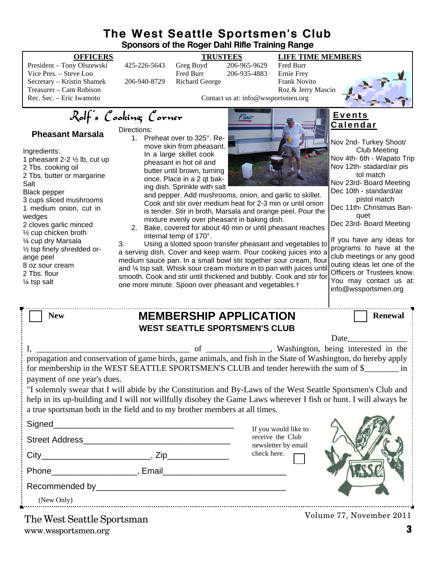#### **The West Seattle Sportsmen's Club Sponsors of the Roger Dahl Rifle Training Range**

President – Tony Olszewski 425-226-5643 Greg Boyd 206-965-9629 Fred Burr Vice Pres. – Steve Loo Fred Burr 206-935-4883 Ernie Frey Secretary – Kristin Shamek 206-940-8729 Richard George Frank Novito Treasurer – Cam Robison Roz & Jerry Mascio



Nov 2nd- Turkey Shoot/ Club Meeting Nov 4th- 6th - Wapato Trip Nov 12th- stadard/air pis tol match Nov 23rd- Board Meeting Dec 10th - standard/air pistol match Dec 11th- Christmas Ban quet

**E v e n t s C a l e n d a r**

Contact us at: info@wssportsmen.org

## Rolf's Cooking Corner

#### **Pheasant Marsala**

Ingredients: 1 pheasant 2-2 ½ lb, cut up 2 Tbs. cooking oil 2 Tbs. butter or margarine Salt Black pepper 3 cups sliced mushrooms 1 medium onion, cut in wedges 2 cloves garlic minced ½ cup chicken broth ¼ cup dry Marsala ½ tsp finely shredded orange peel 8 oz sour cream 2 Tbs. flour ¼ tsp salt

Directions: 1. Preheat over to 325°. Remove skin from pheasant. In a large skillet cook pheasant in hot oil and butter until brown, turning once. Place in a 2 qt baking dish. Sprinkle with salt



and pepper. Add mushrooms, onion, and garlic to skillet. Cook and stir over medium heat for 2-3 min or until onion is tender. Stir in broth, Marsala and orange peel. Pour the mixture evenly over pheasant in baking dish.

2. Bake, covered for about 40 min or until pheasant reaches internal temp of 170°.

3. Using a slotted spoon transfer pheasant and vegetables to a serving dish. Cover and keep warm. Pour cooking juices into a medium sauce pan. In a small bowl stir together sour cream, flour and ¼ tsp salt. Whisk sour cream mixture in to pan with juices until smooth. Cook and stir until thickened and bubbly. Cook and stir for one more minute. Spoon over pheasant and vegetables.†

Dec 23rd- Board Meeting If you have any ideas for programs to have at the club meetings or any good outing ideas let one of the Officers or Trustees know. You may contact us at: info@wssportsmen.org

| <b>New</b>                                                                                                                                                                                                                                                                                                     | <b>MEMBERSHIP APPLICATION</b> |                                                                 | <b>Renewal</b> |  |  |
|----------------------------------------------------------------------------------------------------------------------------------------------------------------------------------------------------------------------------------------------------------------------------------------------------------------|-------------------------------|-----------------------------------------------------------------|----------------|--|--|
| <b>WEST SEATTLE SPORTSMEN'S CLUB</b>                                                                                                                                                                                                                                                                           |                               |                                                                 |                |  |  |
|                                                                                                                                                                                                                                                                                                                |                               |                                                                 | Date           |  |  |
|                                                                                                                                                                                                                                                                                                                |                               |                                                                 |                |  |  |
| propagation and conservation of game birds, game animals, and fish in the State of Washington, do hereby apply<br>for membership in the WEST SEATTLE SPORTSMEN'S CLUB and tender herewith the sum of \$<br>payment of one year's dues.                                                                         |                               |                                                                 |                |  |  |
| "I solemnly swear that I will abide by the Constitution and By-Laws of the West Seattle Sportsmen's Club and<br>help in its up-building and I will not willfully disobey the Game Laws wherever I fish or hunt. I will always be<br>a true sportsman both in the field and to my brother members at all times. |                               |                                                                 |                |  |  |
|                                                                                                                                                                                                                                                                                                                |                               |                                                                 |                |  |  |
| Street Address <b>Street Address</b>                                                                                                                                                                                                                                                                           |                               | If you would like to<br>receive the Club<br>newsletter by email |                |  |  |
|                                                                                                                                                                                                                                                                                                                |                               | check here.                                                     |                |  |  |
| Phone Representation Phone Phone Representation of the Representation of the Representation of the Representation of the Representation of the Representation of the Representation of the Representation of the Representatio                                                                                 |                               |                                                                 |                |  |  |
|                                                                                                                                                                                                                                                                                                                |                               |                                                                 |                |  |  |

Recommended by\_

(New Only)

www.wssportsmen.org **3** The West Seattle Sportsman

Volume 77, November 2011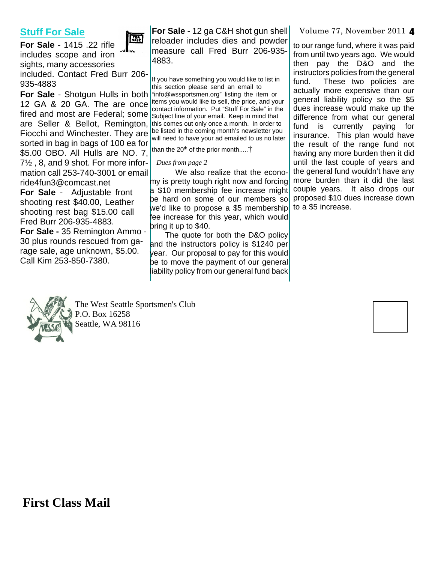#### **Stuff For Sale**

FALE

**For Sale** - 1415 .22 rifle includes scope and iron sights, many accessories included. Contact Fred Burr 206-

935-4883

are Seller & Bellot, Remington, this comes out only once a month. In order to Fiocchi and Winchester. They are sorted in bag in bags of 100 ea for \$5.00 OBO. All Hulls are NO. 7, 7½ , 8, and 9 shot. For more information call 253-740-3001 or email ride4fun3@comcast.net

**For Sale** - Adjustable front shooting rest \$40.00, Leather shooting rest bag \$15.00 call Fred Burr 206-935-4883.

**For Sale -** 35 Remington Ammo - 30 plus rounds rescued from garage sale, age unknown, \$5.00. Call Kim 253-850-7380.

**For Sale** - 12 ga C&H shot gun shell reloader includes dies and powder measure call Fred Burr 206-935- 4883.

**For Sale** - Shotgun Hulls in both "info@wssportsmen.org" listing the item or 12 GA & 20 GA. The are once  $\frac{1}{2}$  contact information. But "Stuff For Sale" in the Figure 3. Contained and most are Federal; some subset tine of your email. Keep in mind that If you have something you would like to list in this section please send an email to Subject line of your email. Keep in mind that be listed in the coming month's newsletter you will need to have your ad emailed to us no later

than the 20<sup>th</sup> of the prior month.....<sup>†</sup>

#### *Dues from page 2*

We also realize that the economy is pretty tough right now and forcing a \$10 membership fee increase might be hard on some of our members so we'd like to propose a \$5 membership fee increase for this year, which would bring it up to \$40.

The quote for both the D&O policy and the instructors policy is \$1240 per year. Our proposal to pay for this would be to move the payment of our general liability policy from our general fund back

#### Volume 77, November 2011 4

to our range fund, where it was paid from until two years ago. We would then pay the D&O and the instructors policies from the general fund. These two policies are actually more expensive than our general liability policy so the \$5 dues increase would make up the difference from what our general fund is currently paying for insurance. This plan would have the result of the range fund not having any more burden then it did until the last couple of years and the general fund wouldn't have any more burden than it did the last couple years. It also drops our proposed \$10 dues increase down to a \$5 increase.



The West Seattle Sportsmen's Club P.O. Box 16258 Seattle, WA 98116

**First Class Mail**